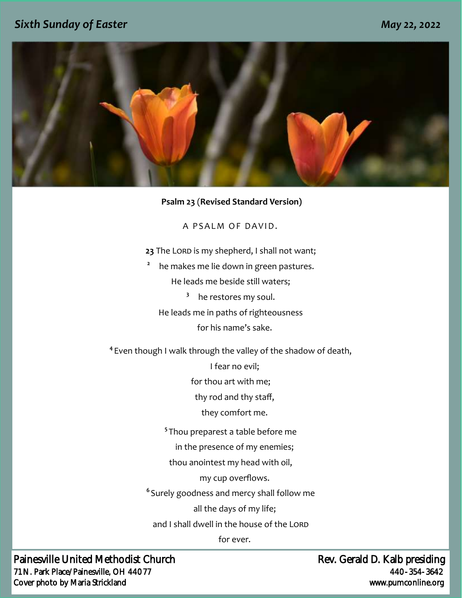## *Sixth Sunday of Easter May 22, 2022*



#### **Psalm 23** (**Revised Standard Version)**

A P SAI M OF DAVID.

- 23 The LORD is my shepherd, I shall not want;
- **2** he makes me lie down in green pastures. He leads me beside still waters;
	- **3** he restores my soul.
	- He leads me in paths of righteousness

for his name's sake.

**4** Even though I walk through the valley of the shadow of death,

I fear no evil;

for thou art with me;

thy rod and thy staff,

they comfort me.

**5** Thou preparest a table before me

in the presence of my enemies;

thou anointest my head with oil,

my cup overflows.

**6** Surely goodness and mercy shall follow me

all the days of my life;

and I shall dwell in the house of the LORD

for ever.

Painesville United Methodist Church **Rev.** Gerald D. Kalb presiding 71 N. Park Place/Painesville, OH 44077 440-354-3642 Cover photo by Maria Strickland www.pumconline.org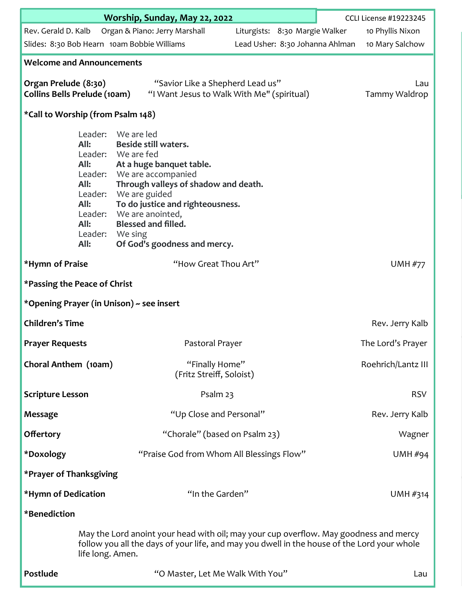|                                                                                                                                                                                                          | Worship, Sunday, May 22, 2022                                                                    | <b>CCLI License #19223245</b>                                                                                                                                                                                                                                                                            |                                 |                    |  |  |  |
|----------------------------------------------------------------------------------------------------------------------------------------------------------------------------------------------------------|--------------------------------------------------------------------------------------------------|----------------------------------------------------------------------------------------------------------------------------------------------------------------------------------------------------------------------------------------------------------------------------------------------------------|---------------------------------|--------------------|--|--|--|
| Rev. Gerald D. Kalb                                                                                                                                                                                      |                                                                                                  | Organ & Piano: Jerry Marshall                                                                                                                                                                                                                                                                            | Liturgists: 8:30 Margie Walker  | 10 Phyllis Nixon   |  |  |  |
|                                                                                                                                                                                                          |                                                                                                  | Slides: 8:30 Bob Hearn 10am Bobbie Williams                                                                                                                                                                                                                                                              | Lead Usher: 8:30 Johanna Ahlman | 10 Mary Salchow    |  |  |  |
| <b>Welcome and Announcements</b>                                                                                                                                                                         |                                                                                                  |                                                                                                                                                                                                                                                                                                          |                                 |                    |  |  |  |
| Organ Prelude (8:30)<br><b>Collins Bells Prelude (10am)</b>                                                                                                                                              |                                                                                                  | Lau<br>Tammy Waldrop                                                                                                                                                                                                                                                                                     |                                 |                    |  |  |  |
| *Call to Worship (from Psalm 148)                                                                                                                                                                        |                                                                                                  |                                                                                                                                                                                                                                                                                                          |                                 |                    |  |  |  |
|                                                                                                                                                                                                          | Leader:<br>All:<br>Leader:<br>All:<br>Leader:<br>All:<br>All:<br>All:<br>Leader: We sing<br>All: | We are led<br><b>Beside still waters.</b><br>We are fed<br>At a huge banquet table.<br>We are accompanied<br>Through valleys of shadow and death.<br>Leader: We are guided<br>To do justice and righteousness.<br>Leader: We are anointed,<br><b>Blessed and filled.</b><br>Of God's goodness and mercy. |                                 |                    |  |  |  |
| *Hymn of Praise                                                                                                                                                                                          |                                                                                                  | "How Great Thou Art"                                                                                                                                                                                                                                                                                     |                                 | <b>UMH #77</b>     |  |  |  |
| *Passing the Peace of Christ                                                                                                                                                                             |                                                                                                  |                                                                                                                                                                                                                                                                                                          |                                 |                    |  |  |  |
| *Opening Prayer (in Unison) ~ see insert                                                                                                                                                                 |                                                                                                  |                                                                                                                                                                                                                                                                                                          |                                 |                    |  |  |  |
| <b>Children's Time</b>                                                                                                                                                                                   |                                                                                                  |                                                                                                                                                                                                                                                                                                          |                                 | Rev. Jerry Kalb    |  |  |  |
| <b>Prayer Requests</b>                                                                                                                                                                                   |                                                                                                  | Pastoral Prayer                                                                                                                                                                                                                                                                                          |                                 | The Lord's Prayer  |  |  |  |
| Choral Anthem (10am)                                                                                                                                                                                     |                                                                                                  | "Finally Home"<br>(Fritz Streiff, Soloist)                                                                                                                                                                                                                                                               |                                 | Roehrich/Lantz III |  |  |  |
| <b>Scripture Lesson</b>                                                                                                                                                                                  |                                                                                                  | Psalm 23                                                                                                                                                                                                                                                                                                 |                                 | <b>RSV</b>         |  |  |  |
| <b>Message</b>                                                                                                                                                                                           |                                                                                                  | "Up Close and Personal"                                                                                                                                                                                                                                                                                  |                                 | Rev. Jerry Kalb    |  |  |  |
| <b>Offertory</b>                                                                                                                                                                                         |                                                                                                  | "Chorale" (based on Psalm 23)                                                                                                                                                                                                                                                                            |                                 | Wagner             |  |  |  |
| *Doxology                                                                                                                                                                                                |                                                                                                  | "Praise God from Whom All Blessings Flow"                                                                                                                                                                                                                                                                |                                 | UMH#94             |  |  |  |
| *Prayer of Thanksgiving                                                                                                                                                                                  |                                                                                                  |                                                                                                                                                                                                                                                                                                          |                                 |                    |  |  |  |
| *Hymn of Dedication                                                                                                                                                                                      |                                                                                                  | "In the Garden"                                                                                                                                                                                                                                                                                          |                                 | UMH #314           |  |  |  |
| *Benediction                                                                                                                                                                                             |                                                                                                  |                                                                                                                                                                                                                                                                                                          |                                 |                    |  |  |  |
| May the Lord anoint your head with oil; may your cup overflow. May goodness and mercy<br>follow you all the days of your life, and may you dwell in the house of the Lord your whole<br>life long. Amen. |                                                                                                  |                                                                                                                                                                                                                                                                                                          |                                 |                    |  |  |  |
| Postlude                                                                                                                                                                                                 |                                                                                                  | "O Master, Let Me Walk With You"                                                                                                                                                                                                                                                                         |                                 | Lau                |  |  |  |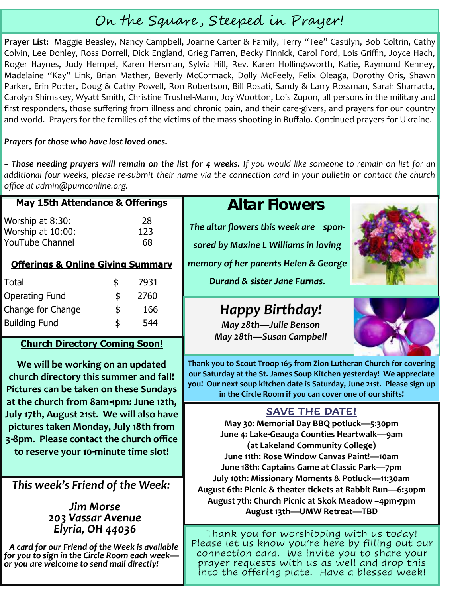# On the Square , Steeped in Prayer!

**Prayer List:** Maggie Beasley, Nancy Campbell, Joanne Carter & Family, Terry "Tee" Castilyn, Bob Coltrin, Cathy Colvin, Lee Donley, Ross Dorrell, Dick England, Grieg Farren, Becky Finnick, Carol Ford, Lois Griffin, Joyce Hach, Roger Haynes, Judy Hempel, Karen Hersman, Sylvia Hill, Rev. Karen Hollingsworth, Katie, Raymond Kenney, Madelaine "Kay" Link, Brian Mather, Beverly McCormack, Dolly McFeely, Felix Oleaga, Dorothy Oris, Shawn Parker, Erin Potter, Doug & Cathy Powell, Ron Robertson, Bill Rosati, Sandy & Larry Rossman, Sarah Sharratta, Carolyn Shimskey, Wyatt Smith, Christine Trushel-Mann, Joy Wootton, Lois Zupon, all persons in the military and first responders, those suffering from illness and chronic pain, and their care-givers, and prayers for our country and world. Prayers for the families of the victims of the mass shooting in Buffalo. Continued prayers for Ukraine.

#### *Prayers for those who have lost loved ones.*

*~ Those needing prayers will remain on the list for 4 weeks. If you would like someone to remain on list for an additional four weeks, please re-submit their name via the connection card in your bulletin or contact the church office at admin@pumconline.org.*

#### **May 15th Attendance & Offerings**

Worship at 8:30: 28 Worship at 10:00: 123 YouTube Channel 68

## **Offerings & Online Giving Summary**

| Total                | \$<br>7931 |
|----------------------|------------|
| Operating Fund       | \$<br>2760 |
| Change for Change    | \$<br>166  |
| <b>Building Fund</b> | \$<br>544  |

## **Church Directory Coming Soon!**

**We will be working on an updated church directory this summer and fall! Pictures can be taken on these Sundays at the church from 8am-1pm: June 12th, July 17th, August 21st. We will also have pictures taken Monday, July 18th from 3-8pm. Please contact the church office to reserve your 10-minute time slot!** 

## *This week's Friend of the Week:*

#### *Jim Morse 203 Vassar Avenue Elyria, OH 44036*

*A card for our Friend of the Week is available for you to sign in the Circle Room each week or you are welcome to send mail directly!*

# **Altar Flowers**

*The altar flowers this week are spon-*

*memory of her parents Helen & George* 

*sored by Maxine L Williams in loving* 

*Durand & sister Jane Furnas.*

# *Happy Birthday!*

*May 28th—Julie Benson May 28th—Susan Campbell*





**Thank you to Scout Troop 165 from Zion Lutheran Church for covering our Saturday at the St. James Soup Kitchen yesterday! We appreciate you! Our next soup kitchen date is Saturday, June 21st. Please sign up in the Circle Room if you can cover one of our shifts!**

# **SAVE THE DATE!**

**May 30: Memorial Day BBQ potluck—5:30pm June 4: Lake-Geauga Counties Heartwalk—9am (at Lakeland Community College) June 11th: Rose Window Canvas Paint!—10am June 18th: Captains Game at Classic Park—7pm July 10th: Missionary Moments & Potluck—11:30am August 6th: Picnic & theater tickets at Rabbit Run—6:30pm August 7th: Church Picnic at Skok Meadow –4pm-7pm August 13th—UMW Retreat—TBD**

Thank you for worshipping with us today! Please let us know you're here by filling out our connection card. We invite you to share your prayer requests with us as well and drop this into the offering plate. Have a blessed week!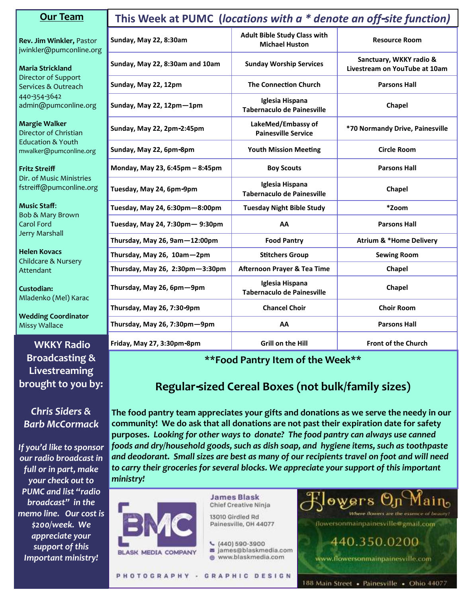| <b>Our Team</b>                                        | This Week at PUMC (locations with a * denote an off-site function) |                                                              |                                                          |  |  |
|--------------------------------------------------------|--------------------------------------------------------------------|--------------------------------------------------------------|----------------------------------------------------------|--|--|
| Rev. Jim Winkler, Pastor<br>jwinkler@pumconline.org    | Sunday, May 22, 8:30am                                             | <b>Adult Bible Study Class with</b><br><b>Michael Huston</b> | <b>Resource Room</b>                                     |  |  |
| <b>Maria Strickland</b>                                | Sunday, May 22, 8:30am and 10am                                    | <b>Sunday Worship Services</b>                               | Sanctuary, WKKY radio &<br>Livestream on YouTube at 10am |  |  |
| Director of Support<br>Services & Outreach             | Sunday, May 22, 12pm                                               | <b>The Connection Church</b>                                 | <b>Parsons Hall</b>                                      |  |  |
| 440-354-3642<br>admin@pumconline.org                   | Sunday, May 22, 12pm-1pm                                           | Iglesia Hispana<br>Tabernaculo de Painesville                | Chapel                                                   |  |  |
| <b>Margie Walker</b><br>Director of Christian          | Sunday, May 22, 2pm-2:45pm                                         | LakeMed/Embassy of<br><b>Painesville Service</b>             | *70 Normandy Drive, Painesville                          |  |  |
| <b>Education &amp; Youth</b><br>mwalker@pumconline.org | Sunday, May 22, 6pm-8pm                                            | <b>Youth Mission Meeting</b>                                 | Circle Room                                              |  |  |
| <b>Fritz Streiff</b>                                   | Monday, May 23, 6:45pm - 8:45pm                                    | <b>Boy Scouts</b>                                            | <b>Parsons Hall</b>                                      |  |  |
| Dir. of Music Ministries<br>fstreiff@pumconline.org    | Tuesday, May 24, 6pm-9pm                                           | Iglesia Hispana<br><b>Tabernaculo de Painesville</b>         | Chapel                                                   |  |  |
| <b>Music Staff:</b><br><b>Bob &amp; Mary Brown</b>     | Tuesday, May 24, 6:30pm-8:00pm                                     | <b>Tuesday Night Bible Study</b>                             | *Zoom                                                    |  |  |
| <b>Carol Ford</b>                                      | Tuesday, May 24, 7:30pm - 9:30pm                                   | AA                                                           | <b>Parsons Hall</b>                                      |  |  |
| Jerry Marshall                                         | Thursday, May 26, 9am-12:00pm                                      | <b>Food Pantry</b>                                           | <b>Atrium &amp; *Home Delivery</b>                       |  |  |
| <b>Helen Kovacs</b><br>Childcare & Nursery             | Thursday, May 26, 10am-2pm                                         | <b>Stitchers Group</b>                                       | <b>Sewing Room</b>                                       |  |  |
| Attendant                                              | Thursday, May 26, 2:30pm-3:30pm                                    | <b>Afternoon Prayer &amp; Tea Time</b>                       | Chapel                                                   |  |  |
| Custodian:<br>Mladenko (Mel) Karac                     | Thursday, May 26, 6pm-9pm                                          | Iglesia Hispana<br><b>Tabernaculo de Painesville</b>         | Chapel                                                   |  |  |
|                                                        | Thursday, May 26, 7:30-9pm                                         | <b>Chancel Choir</b>                                         | <b>Choir Room</b>                                        |  |  |
| <b>Wedding Coordinator</b><br><b>Missy Wallace</b>     | Thursday, May 26, 7:30pm-9pm                                       | AA                                                           | <b>Parsons Hall</b>                                      |  |  |
| <b>WKKY Radio</b>                                      | Friday, May 27, 3:30pm-8pm                                         | <b>Grill on the Hill</b>                                     | <b>Front of the Church</b>                               |  |  |

#### **\*\*Food Pantry Item of the Week\*\***

# **Regular-sized Cereal Boxes (not bulk/family sizes)**

**The food pantry team appreciates your gifts and donations as we serve the needy in our community! We do ask that all donations are not past their expiration date for safety purposes.** *Looking for other ways to donate? The food pantry can always use canned foods and dry/household goods, such as dish soap, and hygiene items, such as toothpaste and deodorant. Small sizes are best as many of our recipients travel on foot and will need to carry their groceries for several blocks. We appreciate your support of this important ministry!*



**Broadcasting & Livestreaming brought to you by:**

*Chris Siders & Barb McCormack*

*If you'd like to sponsor our radio broadcast in full or in part, make your check out to PUMC and list "radio broadcast" in the memo line. Our cost is \$200/week. We appreciate your support of this Important ministry!*

**James Blask** Chief Creative Ninja

13010 Girdled Rd Painesville, OH 44077

- $(440)590-3900$
- a james@blaskmedia.com
- www.blaskmedia.com

flowersonmainpainesville@gmail.com

440.350.0200

www.flowersonmainpainesville.com

essence or beauty?

owers